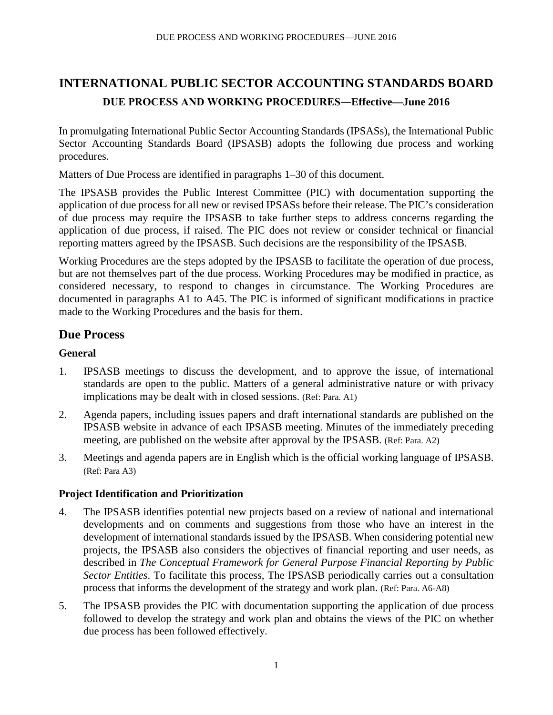# **INTERNATIONAL PUBLIC SECTOR ACCOUNTING STANDARDS BOARD DUE PROCESS AND WORKING PROCEDURES―Effective—June 2016**

In promulgating International Public Sector Accounting Standards (IPSASs), the International Public Sector Accounting Standards Board (IPSASB) adopts the following due process and working procedures.

Matters of Due Process are identified in paragraphs 1–30 of this document.

The IPSASB provides the Public Interest Committee (PIC) with documentation supporting the application of due process for all new or revised IPSASs before their release. The PIC's consideration of due process may require the IPSASB to take further steps to address concerns regarding the application of due process, if raised. The PIC does not review or consider technical or financial reporting matters agreed by the IPSASB. Such decisions are the responsibility of the IPSASB.

Working Procedures are the steps adopted by the IPSASB to facilitate the operation of due process, but are not themselves part of the due process. Working Procedures may be modified in practice, as considered necessary, to respond to changes in circumstance. The Working Procedures are documented in paragraphs A1 to A45. The PIC is informed of significant modifications in practice made to the Working Procedures and the basis for them.

# **Due Process**

# **General**

- 1. IPSASB meetings to discuss the development, and to approve the issue, of international standards are open to the public. Matters of a general administrative nature or with privacy implications may be dealt with in closed sessions. (Ref: Para. A1)
- 2. Agenda papers, including issues papers and draft international standards are published on the IPSASB website in advance of each IPSASB meeting. Minutes of the immediately preceding meeting, are published on the website after approval by the IPSASB. (Ref: Para. A2)
- 3. Meetings and agenda papers are in English which is the official working language of IPSASB. (Ref: Para A3)

# **Project Identification and Prioritization**

- 4. The IPSASB identifies potential new projects based on a review of national and international developments and on comments and suggestions from those who have an interest in the development of international standards issued by the IPSASB. When considering potential new projects, the IPSASB also considers the objectives of financial reporting and user needs, as described in *The Conceptual Framework for General Purpose Financial Reporting by Public Sector Entities*. To facilitate this process, The IPSASB periodically carries out a consultation process that informs the development of the strategy and work plan. (Ref: Para. A6-A8)
- 5. The IPSASB provides the PIC with documentation supporting the application of due process followed to develop the strategy and work plan and obtains the views of the PIC on whether due process has been followed effectively.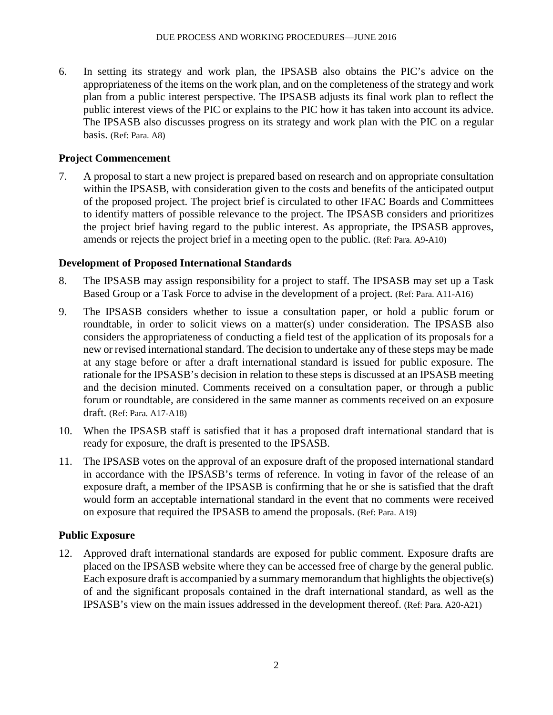6. In setting its strategy and work plan, the IPSASB also obtains the PIC's advice on the appropriateness of the items on the work plan, and on the completeness of the strategy and work plan from a public interest perspective. The IPSASB adjusts its final work plan to reflect the public interest views of the PIC or explains to the PIC how it has taken into account its advice. The IPSASB also discusses progress on its strategy and work plan with the PIC on a regular basis. (Ref: Para. A8)

# **Project Commencement**

7. A proposal to start a new project is prepared based on research and on appropriate consultation within the IPSASB, with consideration given to the costs and benefits of the anticipated output of the proposed project. The project brief is circulated to other IFAC Boards and Committees to identify matters of possible relevance to the project. The IPSASB considers and prioritizes the project brief having regard to the public interest. As appropriate, the IPSASB approves, amends or rejects the project brief in a meeting open to the public. (Ref: Para. A9-A10)

# **Development of Proposed International Standards**

- 8. The IPSASB may assign responsibility for a project to staff. The IPSASB may set up a Task Based Group or a Task Force to advise in the development of a project. (Ref: Para. A11-A16)
- 9. The IPSASB considers whether to issue a consultation paper, or hold a public forum or roundtable, in order to solicit views on a matter(s) under consideration. The IPSASB also considers the appropriateness of conducting a field test of the application of its proposals for a new or revised international standard. The decision to undertake any of these steps may be made at any stage before or after a draft international standard is issued for public exposure. The rationale for the IPSASB's decision in relation to these steps is discussed at an IPSASB meeting and the decision minuted. Comments received on a consultation paper, or through a public forum or roundtable, are considered in the same manner as comments received on an exposure draft. (Ref: Para. A17-A18)
- 10. When the IPSASB staff is satisfied that it has a proposed draft international standard that is ready for exposure, the draft is presented to the IPSASB.
- 11. The IPSASB votes on the approval of an exposure draft of the proposed international standard in accordance with the IPSASB's terms of reference. In voting in favor of the release of an exposure draft, a member of the IPSASB is confirming that he or she is satisfied that the draft would form an acceptable international standard in the event that no comments were received on exposure that required the IPSASB to amend the proposals. (Ref: Para. A19)

# **Public Exposure**

12. Approved draft international standards are exposed for public comment. Exposure drafts are placed on the IPSASB website where they can be accessed free of charge by the general public. Each exposure draft is accompanied by a summary memorandum that highlights the objective(s) of and the significant proposals contained in the draft international standard, as well as the IPSASB's view on the main issues addressed in the development thereof. (Ref: Para. A20-A21)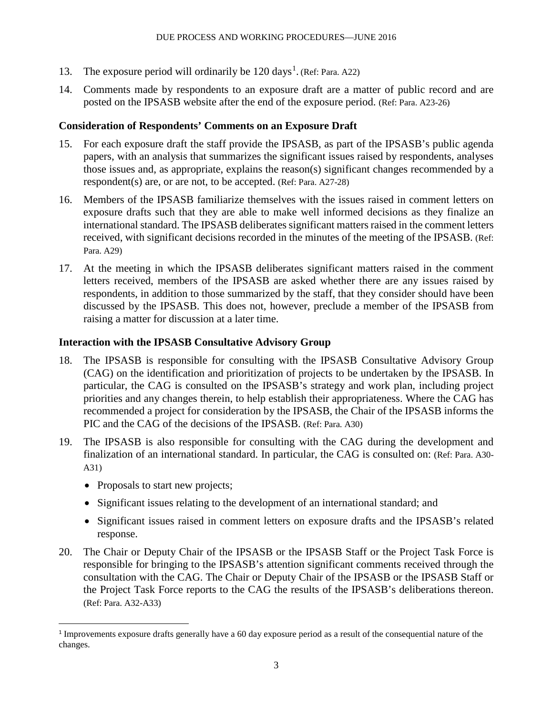- [1](#page-2-0)3. The exposure period will ordinarily be 120 days<sup>1</sup>. (Ref: Para. A22)
- 14. Comments made by respondents to an exposure draft are a matter of public record and are posted on the IPSASB website after the end of the exposure period. (Ref: Para. A23-26)

# **Consideration of Respondents' Comments on an Exposure Draft**

- 15. For each exposure draft the staff provide the IPSASB, as part of the IPSASB's public agenda papers, with an analysis that summarizes the significant issues raised by respondents, analyses those issues and, as appropriate, explains the reason(s) significant changes recommended by a respondent(s) are, or are not, to be accepted. (Ref: Para. A27-28)
- 16. Members of the IPSASB familiarize themselves with the issues raised in comment letters on exposure drafts such that they are able to make well informed decisions as they finalize an international standard. The IPSASB deliberates significant matters raised in the comment letters received, with significant decisions recorded in the minutes of the meeting of the IPSASB. (Ref: Para. A29)
- 17. At the meeting in which the IPSASB deliberates significant matters raised in the comment letters received, members of the IPSASB are asked whether there are any issues raised by respondents, in addition to those summarized by the staff, that they consider should have been discussed by the IPSASB. This does not, however, preclude a member of the IPSASB from raising a matter for discussion at a later time.

# **Interaction with the IPSASB Consultative Advisory Group**

- 18. The IPSASB is responsible for consulting with the IPSASB Consultative Advisory Group (CAG) on the identification and prioritization of projects to be undertaken by the IPSASB. In particular, the CAG is consulted on the IPSASB's strategy and work plan, including project priorities and any changes therein, to help establish their appropriateness. Where the CAG has recommended a project for consideration by the IPSASB, the Chair of the IPSASB informs the PIC and the CAG of the decisions of the IPSASB. (Ref: Para. A30)
- 19. The IPSASB is also responsible for consulting with the CAG during the development and finalization of an international standard. In particular, the CAG is consulted on: (Ref: Para. A30- A31)
	- Proposals to start new projects;
	- Significant issues relating to the development of an international standard; and
	- Significant issues raised in comment letters on exposure drafts and the IPSASB's related response.
- 20. The Chair or Deputy Chair of the IPSASB or the IPSASB Staff or the Project Task Force is responsible for bringing to the IPSASB's attention significant comments received through the consultation with the CAG. The Chair or Deputy Chair of the IPSASB or the IPSASB Staff or the Project Task Force reports to the CAG the results of the IPSASB's deliberations thereon. (Ref: Para. A32-A33)

<span id="page-2-0"></span> <sup>1</sup> Improvements exposure drafts generally have a 60 day exposure period as a result of the consequential nature of the changes.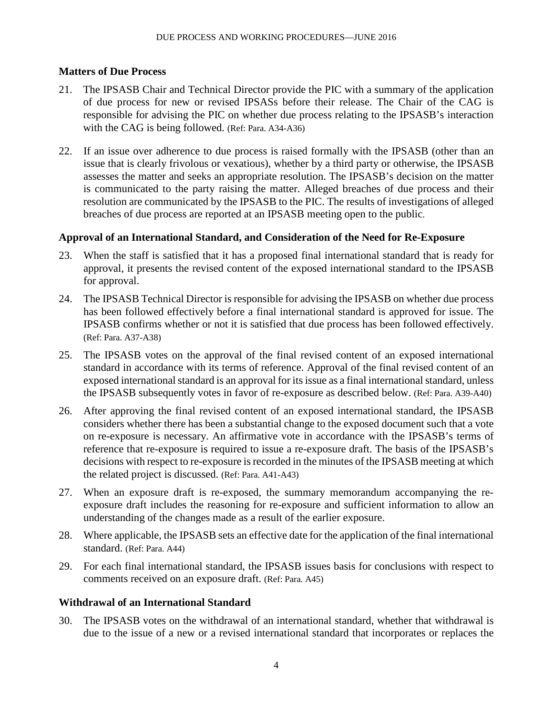# **Matters of Due Process**

- 21. The IPSASB Chair and Technical Director provide the PIC with a summary of the application of due process for new or revised IPSASs before their release. The Chair of the CAG is responsible for advising the PIC on whether due process relating to the IPSASB's interaction with the CAG is being followed. (Ref: Para. A34-A36)
- 22. If an issue over adherence to due process is raised formally with the IPSASB (other than an issue that is clearly frivolous or vexatious), whether by a third party or otherwise, the IPSASB assesses the matter and seeks an appropriate resolution. The IPSASB's decision on the matter is communicated to the party raising the matter. Alleged breaches of due process and their resolution are communicated by the IPSASB to the PIC. The results of investigations of alleged breaches of due process are reported at an IPSASB meeting open to the public.

# **Approval of an International Standard, and Consideration of the Need for Re-Exposure**

- 23. When the staff is satisfied that it has a proposed final international standard that is ready for approval, it presents the revised content of the exposed international standard to the IPSASB for approval.
- 24. The IPSASB Technical Director is responsible for advising the IPSASB on whether due process has been followed effectively before a final international standard is approved for issue. The IPSASB confirms whether or not it is satisfied that due process has been followed effectively. (Ref: Para. A37-A38)
- 25. The IPSASB votes on the approval of the final revised content of an exposed international standard in accordance with its terms of reference. Approval of the final revised content of an exposed international standard is an approval for its issue as a final international standard, unless the IPSASB subsequently votes in favor of re-exposure as described below. (Ref: Para. A39-A40)
- 26. After approving the final revised content of an exposed international standard, the IPSASB considers whether there has been a substantial change to the exposed document such that a vote on re-exposure is necessary. An affirmative vote in accordance with the IPSASB's terms of reference that re-exposure is required to issue a re-exposure draft. The basis of the IPSASB's decisions with respect to re-exposure is recorded in the minutes of the IPSASB meeting at which the related project is discussed. (Ref: Para. A41-A43)
- 27. When an exposure draft is re-exposed, the summary memorandum accompanying the reexposure draft includes the reasoning for re-exposure and sufficient information to allow an understanding of the changes made as a result of the earlier exposure.
- 28. Where applicable, the IPSASB sets an effective date for the application of the final international standard. (Ref: Para. A44)
- 29. For each final international standard, the IPSASB issues basis for conclusions with respect to comments received on an exposure draft. (Ref: Para. A45)

# **Withdrawal of an International Standard**

30. The IPSASB votes on the withdrawal of an international standard, whether that withdrawal is due to the issue of a new or a revised international standard that incorporates or replaces the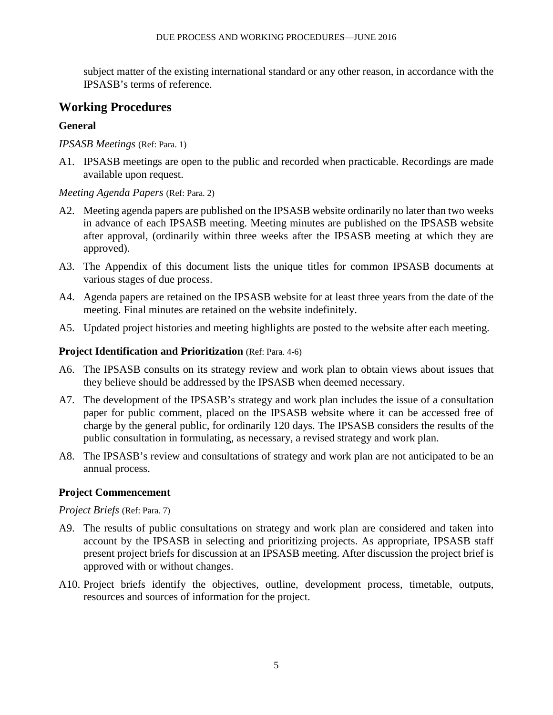subject matter of the existing international standard or any other reason, in accordance with the IPSASB's terms of reference.

# **Working Procedures**

# **General**

*IPSASB Meetings* (Ref: Para. 1)

A1. IPSASB meetings are open to the public and recorded when practicable. Recordings are made available upon request.

# *Meeting Agenda Papers* (Ref: Para. 2)

- A2. Meeting agenda papers are published on the IPSASB website ordinarily no later than two weeks in advance of each IPSASB meeting. Meeting minutes are published on the IPSASB website after approval, (ordinarily within three weeks after the IPSASB meeting at which they are approved).
- A3. The Appendix of this document lists the unique titles for common IPSASB documents at various stages of due process.
- A4. Agenda papers are retained on the IPSASB website for at least three years from the date of the meeting. Final minutes are retained on the website indefinitely.
- A5. Updated project histories and meeting highlights are posted to the website after each meeting.

# **Project Identification and Prioritization** (Ref: Para. 4-6)

- A6. The IPSASB consults on its strategy review and work plan to obtain views about issues that they believe should be addressed by the IPSASB when deemed necessary.
- A7. The development of the IPSASB's strategy and work plan includes the issue of a consultation paper for public comment, placed on the IPSASB website where it can be accessed free of charge by the general public, for ordinarily 120 days. The IPSASB considers the results of the public consultation in formulating, as necessary, a revised strategy and work plan.
- A8. The IPSASB's review and consultations of strategy and work plan are not anticipated to be an annual process.

# **Project Commencement**

# *Project Briefs* (Ref: Para. 7)

- A9. The results of public consultations on strategy and work plan are considered and taken into account by the IPSASB in selecting and prioritizing projects. As appropriate, IPSASB staff present project briefs for discussion at an IPSASB meeting. After discussion the project brief is approved with or without changes.
- A10. Project briefs identify the objectives, outline, development process, timetable, outputs, resources and sources of information for the project.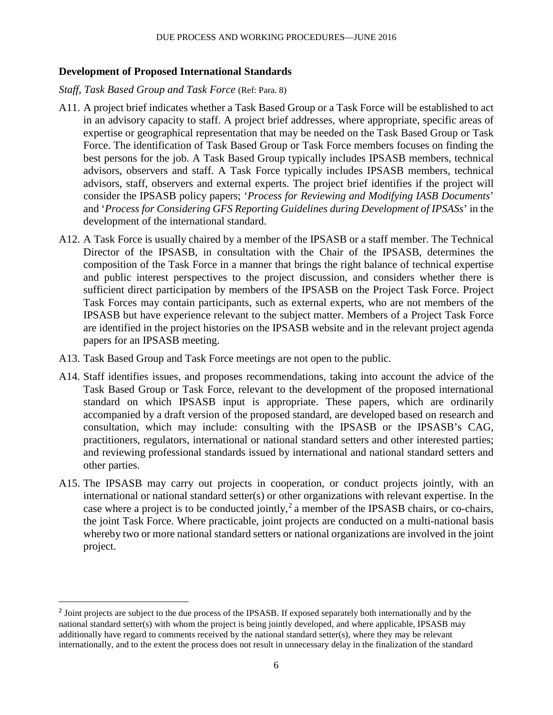### **Development of Proposed International Standards**

#### *Staff, Task Based Group and Task Force* (Ref: Para. 8)

- A11. A project brief indicates whether a Task Based Group or a Task Force will be established to act in an advisory capacity to staff. A project brief addresses, where appropriate, specific areas of expertise or geographical representation that may be needed on the Task Based Group or Task Force. The identification of Task Based Group or Task Force members focuses on finding the best persons for the job. A Task Based Group typically includes IPSASB members, technical advisors, observers and staff. A Task Force typically includes IPSASB members, technical advisors, staff, observers and external experts. The project brief identifies if the project will consider the IPSASB policy papers; '*Process for Reviewing and Modifying IASB Documents*' and '*Process for Considering GFS Reporting Guidelines during Development of IPSASs*' in the development of the international standard.
- A12. A Task Force is usually chaired by a member of the IPSASB or a staff member. The Technical Director of the IPSASB, in consultation with the Chair of the IPSASB, determines the composition of the Task Force in a manner that brings the right balance of technical expertise and public interest perspectives to the project discussion, and considers whether there is sufficient direct participation by members of the IPSASB on the Project Task Force. Project Task Forces may contain participants, such as external experts, who are not members of the IPSASB but have experience relevant to the subject matter. Members of a Project Task Force are identified in the project histories on the IPSASB website and in the relevant project agenda papers for an IPSASB meeting.
- A13. Task Based Group and Task Force meetings are not open to the public.
- A14. Staff identifies issues, and proposes recommendations, taking into account the advice of the Task Based Group or Task Force, relevant to the development of the proposed international standard on which IPSASB input is appropriate. These papers, which are ordinarily accompanied by a draft version of the proposed standard, are developed based on research and consultation, which may include: consulting with the IPSASB or the IPSASB's CAG, practitioners, regulators, international or national standard setters and other interested parties; and reviewing professional standards issued by international and national standard setters and other parties.
- A15. The IPSASB may carry out projects in cooperation, or conduct projects jointly, with an international or national standard setter(s) or other organizations with relevant expertise. In the case where a project is to be conducted jointly,<sup>[2](#page-5-0)</sup> a member of the IPSASB chairs, or co-chairs, the joint Task Force. Where practicable, joint projects are conducted on a multi-national basis whereby two or more national standard setters or national organizations are involved in the joint project.

<span id="page-5-0"></span><sup>&</sup>lt;sup>2</sup> Joint projects are subject to the due process of the IPSASB. If exposed separately both internationally and by the national standard setter(s) with whom the project is being jointly developed, and where applicable, IPSASB may additionally have regard to comments received by the national standard setter(s), where they may be relevant internationally, and to the extent the process does not result in unnecessary delay in the finalization of the standard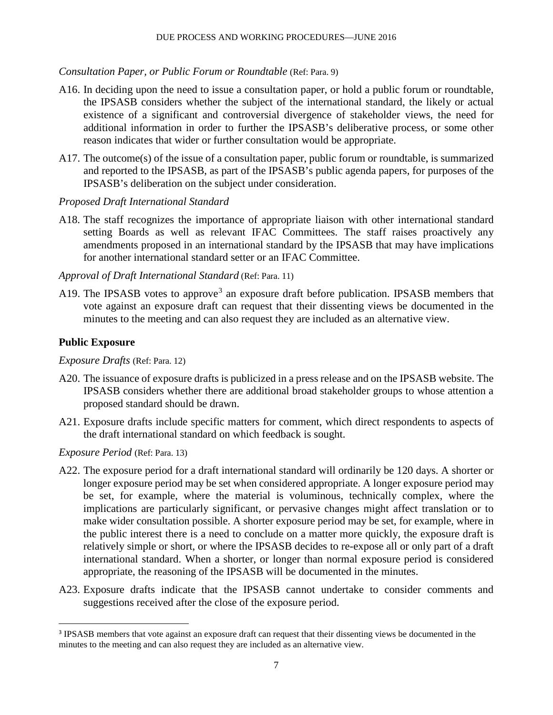#### *Consultation Paper, or Public Forum or Roundtable* (Ref: Para. 9)

- A16. In deciding upon the need to issue a consultation paper, or hold a public forum or roundtable, the IPSASB considers whether the subject of the international standard, the likely or actual existence of a significant and controversial divergence of stakeholder views, the need for additional information in order to further the IPSASB's deliberative process, or some other reason indicates that wider or further consultation would be appropriate.
- A17. The outcome(s) of the issue of a consultation paper, public forum or roundtable, is summarized and reported to the IPSASB, as part of the IPSASB's public agenda papers, for purposes of the IPSASB's deliberation on the subject under consideration.
- *Proposed Draft International Standard*
- A18. The staff recognizes the importance of appropriate liaison with other international standard setting Boards as well as relevant IFAC Committees. The staff raises proactively any amendments proposed in an international standard by the IPSASB that may have implications for another international standard setter or an IFAC Committee.
- *Approval of Draft International Standard* (Ref: Para. 11)
- A19. The IPSASB votes to approve<sup>[3](#page-6-0)</sup> an exposure draft before publication. IPSASB members that vote against an exposure draft can request that their dissenting views be documented in the minutes to the meeting and can also request they are included as an alternative view.

#### **Public Exposure**

*Exposure Drafts* (Ref: Para. 12)

- A20. The issuance of exposure drafts is publicized in a press release and on the IPSASB website. The IPSASB considers whether there are additional broad stakeholder groups to whose attention a proposed standard should be drawn.
- A21. Exposure drafts include specific matters for comment, which direct respondents to aspects of the draft international standard on which feedback is sought.

#### *Exposure Period* (Ref: Para. 13)

- A22. The exposure period for a draft international standard will ordinarily be 120 days. A shorter or longer exposure period may be set when considered appropriate. A longer exposure period may be set, for example, where the material is voluminous, technically complex, where the implications are particularly significant, or pervasive changes might affect translation or to make wider consultation possible. A shorter exposure period may be set, for example, where in the public interest there is a need to conclude on a matter more quickly, the exposure draft is relatively simple or short, or where the IPSASB decides to re-expose all or only part of a draft international standard. When a shorter, or longer than normal exposure period is considered appropriate, the reasoning of the IPSASB will be documented in the minutes.
- A23. Exposure drafts indicate that the IPSASB cannot undertake to consider comments and suggestions received after the close of the exposure period.

<span id="page-6-0"></span><sup>&</sup>lt;sup>3</sup> IPSASB members that vote against an exposure draft can request that their dissenting views be documented in the minutes to the meeting and can also request they are included as an alternative view.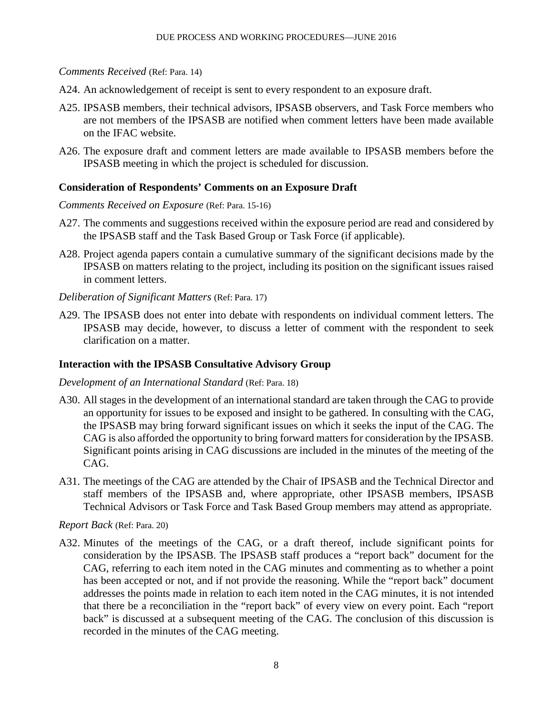*Comments Received* (Ref: Para. 14)

- A24. An acknowledgement of receipt is sent to every respondent to an exposure draft.
- A25. IPSASB members, their technical advisors, IPSASB observers, and Task Force members who are not members of the IPSASB are notified when comment letters have been made available on the IFAC website.
- A26. The exposure draft and comment letters are made available to IPSASB members before the IPSASB meeting in which the project is scheduled for discussion.

### **Consideration of Respondents' Comments on an Exposure Draft**

#### *Comments Received on Exposure* (Ref: Para. 15-16)

- A27. The comments and suggestions received within the exposure period are read and considered by the IPSASB staff and the Task Based Group or Task Force (if applicable).
- A28. Project agenda papers contain a cumulative summary of the significant decisions made by the IPSASB on matters relating to the project, including its position on the significant issues raised in comment letters.

#### *Deliberation of Significant Matters* (Ref: Para. 17)

A29. The IPSASB does not enter into debate with respondents on individual comment letters. The IPSASB may decide, however, to discuss a letter of comment with the respondent to seek clarification on a matter.

#### **Interaction with the IPSASB Consultative Advisory Group**

#### *Development of an International Standard* (Ref: Para. 18)

- A30. All stages in the development of an international standard are taken through the CAG to provide an opportunity for issues to be exposed and insight to be gathered. In consulting with the CAG, the IPSASB may bring forward significant issues on which it seeks the input of the CAG. The CAG is also afforded the opportunity to bring forward matters for consideration by the IPSASB. Significant points arising in CAG discussions are included in the minutes of the meeting of the CAG.
- A31. The meetings of the CAG are attended by the Chair of IPSASB and the Technical Director and staff members of the IPSASB and, where appropriate, other IPSASB members, IPSASB Technical Advisors or Task Force and Task Based Group members may attend as appropriate.

#### *Report Back* (Ref: Para. 20)

A32. Minutes of the meetings of the CAG, or a draft thereof, include significant points for consideration by the IPSASB. The IPSASB staff produces a "report back" document for the CAG, referring to each item noted in the CAG minutes and commenting as to whether a point has been accepted or not, and if not provide the reasoning. While the "report back" document addresses the points made in relation to each item noted in the CAG minutes, it is not intended that there be a reconciliation in the "report back" of every view on every point. Each "report back" is discussed at a subsequent meeting of the CAG. The conclusion of this discussion is recorded in the minutes of the CAG meeting.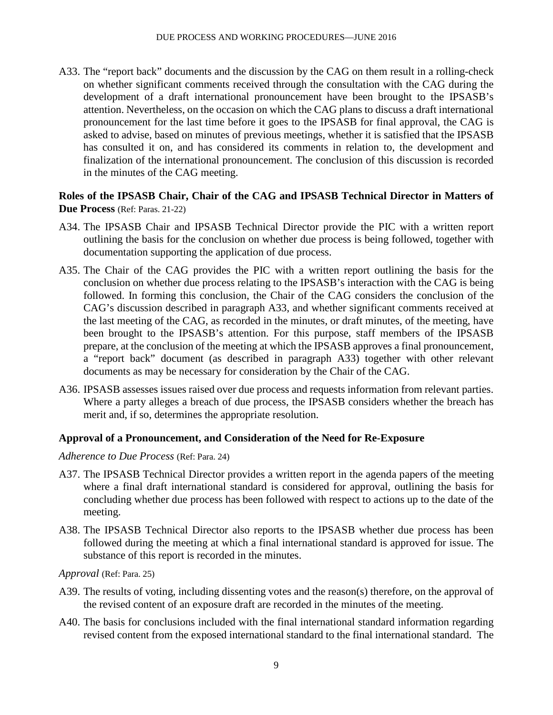A33. The "report back" documents and the discussion by the CAG on them result in a rolling-check on whether significant comments received through the consultation with the CAG during the development of a draft international pronouncement have been brought to the IPSASB's attention. Nevertheless, on the occasion on which the CAG plans to discuss a draft international pronouncement for the last time before it goes to the IPSASB for final approval, the CAG is asked to advise, based on minutes of previous meetings, whether it is satisfied that the IPSASB has consulted it on, and has considered its comments in relation to, the development and finalization of the international pronouncement. The conclusion of this discussion is recorded in the minutes of the CAG meeting.

### **Roles of the IPSASB Chair, Chair of the CAG and IPSASB Technical Director in Matters of Due Process** (Ref: Paras. 21-22)

- A34. The IPSASB Chair and IPSASB Technical Director provide the PIC with a written report outlining the basis for the conclusion on whether due process is being followed, together with documentation supporting the application of due process.
- A35. The Chair of the CAG provides the PIC with a written report outlining the basis for the conclusion on whether due process relating to the IPSASB's interaction with the CAG is being followed. In forming this conclusion, the Chair of the CAG considers the conclusion of the CAG's discussion described in paragraph A33, and whether significant comments received at the last meeting of the CAG, as recorded in the minutes, or draft minutes, of the meeting, have been brought to the IPSASB's attention. For this purpose, staff members of the IPSASB prepare, at the conclusion of the meeting at which the IPSASB approves a final pronouncement, a "report back" document (as described in paragraph A33) together with other relevant documents as may be necessary for consideration by the Chair of the CAG.
- A36. IPSASB assesses issues raised over due process and requests information from relevant parties. Where a party alleges a breach of due process, the IPSASB considers whether the breach has merit and, if so, determines the appropriate resolution.

#### **Approval of a Pronouncement, and Consideration of the Need for Re-Exposure**

#### *Adherence to Due Process* (Ref: Para. 24)

- A37. The IPSASB Technical Director provides a written report in the agenda papers of the meeting where a final draft international standard is considered for approval, outlining the basis for concluding whether due process has been followed with respect to actions up to the date of the meeting.
- A38. The IPSASB Technical Director also reports to the IPSASB whether due process has been followed during the meeting at which a final international standard is approved for issue. The substance of this report is recorded in the minutes.

*Approval* (Ref: Para. 25)

- A39. The results of voting, including dissenting votes and the reason(s) therefore, on the approval of the revised content of an exposure draft are recorded in the minutes of the meeting.
- A40. The basis for conclusions included with the final international standard information regarding revised content from the exposed international standard to the final international standard. The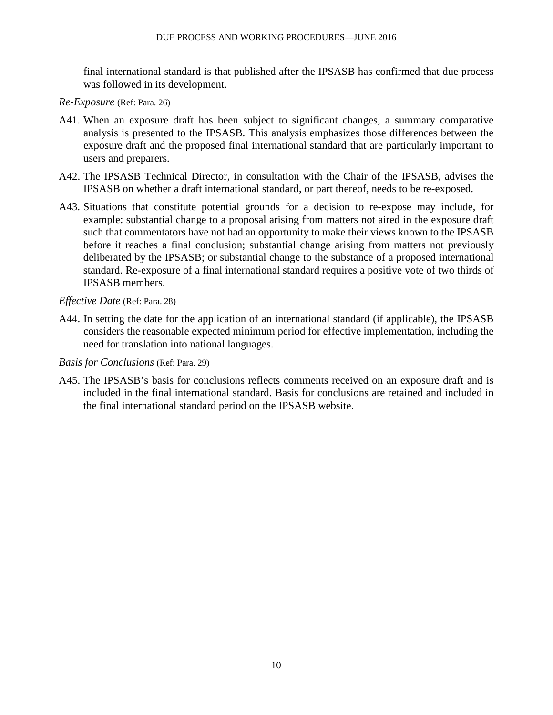final international standard is that published after the IPSASB has confirmed that due process was followed in its development.

*Re-Exposure* (Ref: Para. 26)

- A41. When an exposure draft has been subject to significant changes, a summary comparative analysis is presented to the IPSASB. This analysis emphasizes those differences between the exposure draft and the proposed final international standard that are particularly important to users and preparers.
- A42. The IPSASB Technical Director, in consultation with the Chair of the IPSASB, advises the IPSASB on whether a draft international standard, or part thereof, needs to be re-exposed.
- A43. Situations that constitute potential grounds for a decision to re-expose may include, for example: substantial change to a proposal arising from matters not aired in the exposure draft such that commentators have not had an opportunity to make their views known to the IPSASB before it reaches a final conclusion; substantial change arising from matters not previously deliberated by the IPSASB; or substantial change to the substance of a proposed international standard. Re-exposure of a final international standard requires a positive vote of two thirds of IPSASB members.

*Effective Date* (Ref: Para. 28)

A44. In setting the date for the application of an international standard (if applicable), the IPSASB considers the reasonable expected minimum period for effective implementation, including the need for translation into national languages.

*Basis for Conclusions* (Ref: Para. 29)

A45. The IPSASB's basis for conclusions reflects comments received on an exposure draft and is included in the final international standard. Basis for conclusions are retained and included in the final international standard period on the IPSASB website.